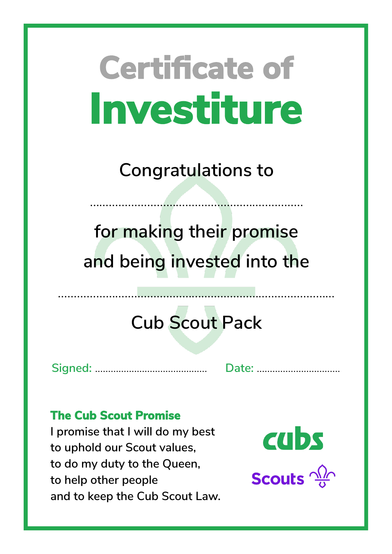**Congratulations to**

……………………………………………….…………

**for making their promise and being invested into the**

### **Cub Scout Pack**

**Signed:** ……………...……………………. **Date:** …………………....…….

#### **The Cub Scout Promise**

**I promise that I will do my best to uphold our Scout values, to do my duty to the Queen, to help other people and to keep the Cub Scout Law.**



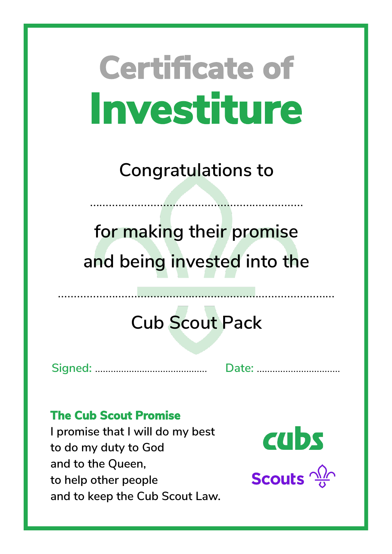**Congratulations to**

……………………………………………….…………

**for making their promise and being invested into the**

### **Cub Scout Pack**

**Signed:** ……………...……………………. **Date:** …………………....…….

……………………………………...……………………………………

#### **The Cub Scout Promise**

**I promise that I will do my best to do my duty to God and to the Queen, to help other people and to keep the Cub Scout Law.**



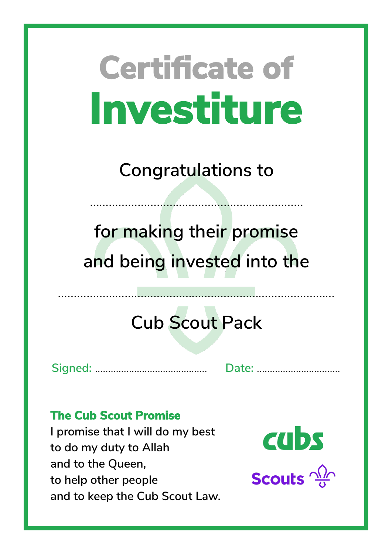**Congratulations to**

……………………………………………….…………

**for making their promise and being invested into the**

### **Cub Scout Pack**

**Signed:** ……………...……………………. **Date:** …………………....…….

……………………………………...……………………………………

#### **The Cub Scout Promise**

**I promise that I will do my best to do my duty to Allah and to the Queen, to help other people and to keep the Cub Scout Law.**



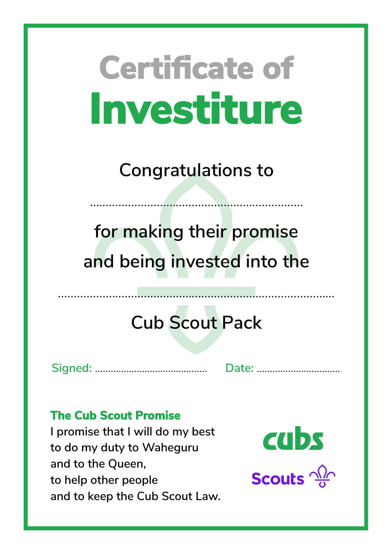**Congratulations to**

……………………………………………….…………

**for making their promise and being invested into the**

### **Cub Scout Pack**

**Signed:** ……………...……………………. **Date:** …………………....…….

……………………………………...……………………………………

#### **The Cub Scout Promise**

**I promise that I will do my best to do my duty to Waheguru and to the Queen, to help other people and to keep the Cub Scout Law.**



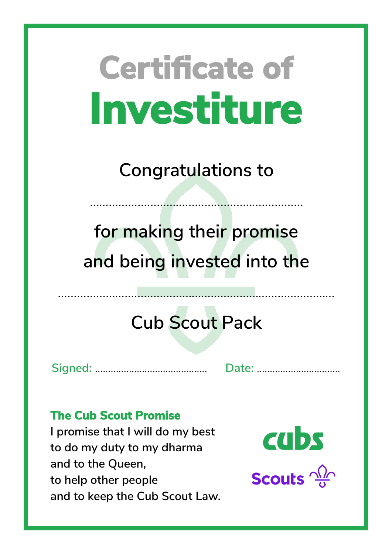**Congratulations to**

……………………………………………….…………

**for making their promise and being invested into the**

### **Cub Scout Pack**

**Signed:** ……………...……………………. **Date:** …………………....…….

……………………………………...……………………………………

#### **The Cub Scout Promise**

**I promise that I will do my best to do my duty to my dharma and to the Queen, to help other people and to keep the Cub Scout Law.**